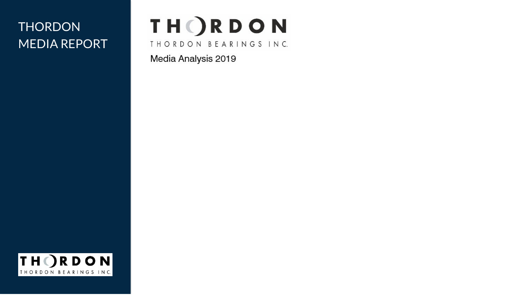## **THORDON** MEDIA REPORT

# **THORDON**

THORDON BEARINGS INC.

Media Analysis 2019

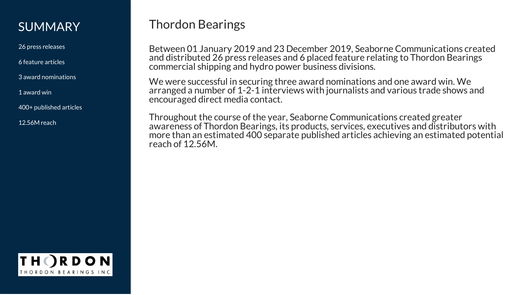### **SUMMARY**

26 press releases

6 feature articles

3 award nominations

1 award win

400+ published articles

12.56M reach

## Thordon Bearings

Between 01 January 2019 and 23 December 2019, Seaborne Communications created and distributed 26 press releases and 6 placed feature relating to Thordon Bearings commercial shipping and hydro power business divisions.

We were successful in securing three award nominations and one award win. We arranged a number of 1-2-1 interviews with journalists and various trade shows and encouraged direct media contact.

Throughout the course of the year, Seaborne Communications created greater awareness of Thordon Bearings, its products, services, executives and distributors with more than an estimated 400 separate published articles achieving an estimated potential reach of 12.56M.

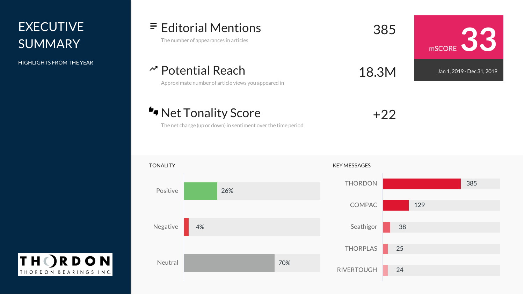## **EXECUTIVE SUMMARY**

HIGHLIGHTS FROM THEYEAR

**THORDON** THORDON BEARINGS INC. Editorial Mentions The number of appearances in articles <sup>385</sup>

Potential Reach Approximate number of article views you appeared in 18.3M

\*Net Tonality Score

+22

mSCORE **33** Jan 1, 2019 - Dec 31, 2019

The net change (up or down) in sentiment over the time period

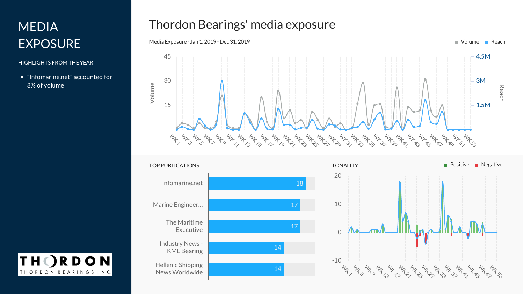## MEDIA EXPOSURE

### HIGHLIGHTS FROM THEYEAR

"Infomarine.net" accounted for 8% of volume

## Thordon Bearings' media exposure







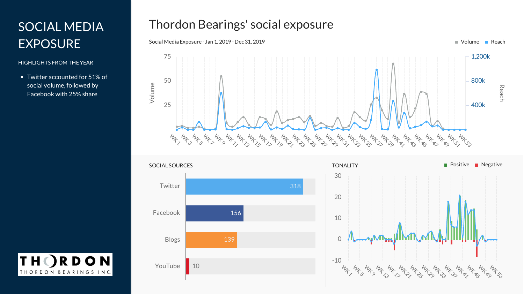## SOCIAL MEDIA EXPOSURE

### HIGHLIGHTS FROM THEYEAR

**TH** 

RDON

THORDON BEARINGS INC.

Twitter accounted for 51% of social volume, followed by Facebook with 25% share

### Thordon Bearings' social exposure





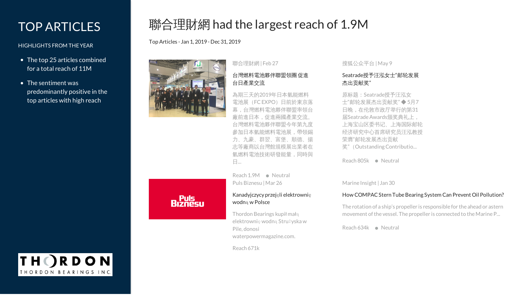## TOP ARTICLES

### HIGHLIGHTS FROM THEYEAR

- The top 25 articles combined for a total reach of 11M
- The sentiment was predominantly positive in the top articles with high reach

## **Riznesu**

Top Articles - Jan 1, 2019 - Dec 31, 2019

聯合理財網 | Feb 27

聯合理財網 had the largest reach of 1.9M

### [台灣燃料電池夥伴聯盟領團](https://money.udn.com/money/story/5722/3668250) 促進 台日產業交流

為期三天的2019年日本氫能燃料 電池展(FCEXPO)日前於東京落 幕,台灣燃料電池夥伴聯盟率領台 廠前進日本,促進兩國產業交流。 台灣燃料電池夥伴聯盟今年第九度 參加日本氫能燃料電池展,帶領錫 力、九豪、群翌、富堡、順德、揚 志等廠商以台灣館規模展出業者在 氫燃料電池技術研發能量,同時與 日...

Reach 1.9M Neutral Puls Biznesu |Mar 26

### [Kanadyjczycy](https://www.pb.pl/kanadyjczycy-przejeli-elektrownie-wodna-w-polsce-956910) przejęli elektrownię wodną w Polsce

Thordon Bearings kupił małą elektrownię wodną Strużyska w Pile, donosi waterpowermagazine.com.

Reach 671k

### 搜狐公众平台 |May 9

### Seatrade[授予汪泓女士](http://www.sohu.com/a/312969041_479794)"邮轮发展 杰出贡献奖"

原标题:Seatrade授予汪泓女 士"邮轮发展杰出贡献奖" ◆ 5月7 日晚,在伦敦市政厅举行的第31 届SeatradeAwards颁奖典礼上, 上海宝山区委书记、上海国际邮轮 经济研究中心首席研究员汪泓教授 荣膺"邮轮发展杰出贡献 奖"(OutstandingContributio...

Reach 805k · Neutral

Marine Insight | Jan 30

### How COMPAC Stern Tube Bearing System Can Prevent Oil Pollution?

The rotation of a ship's propeller is responsible for the ahead or astern movement of the vessel. The propeller is connected to the Marine P...

Reach 634k · Neutral

**ORDON** THORDON BEARINGS INC.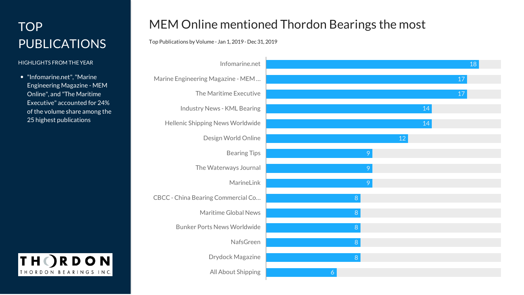## TOP PUBLICATIONS

### HIGHLIGHTS FROM THEYEAR

"Infomarine.net","Marine Engineering Magazine - MEM Online", and "The Maritime Executive" accounted for 24% of the volume share among the 25 highest publications



### MEM Online mentioned Thordon Bearings the most

Top Publications byVolume - Jan 1, 2019 - Dec 31, 2019

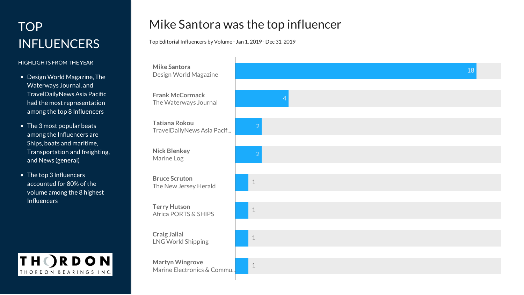- 
- 
- 



### Mike Santora was the top influencer

Top Editorial Influencers by Volume - Jan 1, 2019 - Dec 31, 2019

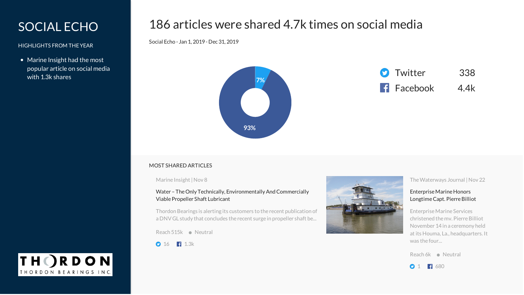### SOCIAL ECHO

HIGHLIGHTS FROM THEYEAR

• Marine Insight had the most popular article on social media with 1.3k shares

### 186 articles were shared 4.7k times on social media

Social Echo - Jan 1, 2019 - Dec 31, 2019





### MOST SHARED ARTICLES

Marine Insight |Nov 8

Water - The Only Technically, Environmentally And Commercially ViablePropeller Shaft Lubricant

Thordon Bearings is alerting its customers to the recent publication of a DNV GL study that concludes the recent surge in propeller shaft be...

 $Reach 515k \bullet Neural$ 

 $0.16$  1.3k



The Waterways Journal | Nov 22

### Enterprise Marine Honors LongtimeCapt. PierreBilliot

EnterpriseMarine Services christened the my. Pierre Billiot November 14 in a ceremony held at its Houma, La., headquarters. It was the four...

Reach 6k **Neutral** 



RDON THORDON BEARINGS INC.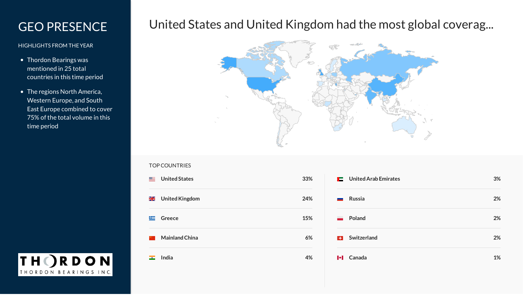### GEO PRESENCE

### HIGHLIGHTS FROM THEYEAR

- Thordon Bearings was mentioned in 25 total countries in this time period
- The regions North America, Western Europe, and South East Europe combined to cover 75% of the total volume in this time period

### **THORDON** THORDON BEARINGS INC.

## United States and United Kingdom had the most global coverag...



### TOP COUNTRIES

**United States 33% ESE** 噐 **UnitedKingdom 24%** 医 **Greece 15% MainlandChina 6% India 4%**  $\overline{\phantom{a}}$ 

|                          | $\blacksquare$ United Arab Emirates | 3% |
|--------------------------|-------------------------------------|----|
|                          | Russia                              | 2% |
| $\overline{\phantom{a}}$ | Poland                              | 2% |
|                          | <b>B</b> Switzerland                | 2% |
|                          | I+I Canada                          | 1% |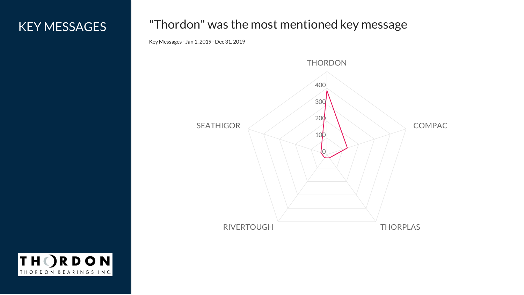## KEY MESSAGES

### "Thordon" was the most mentioned key message

Key Messages - Jan 1, 2019 - Dec 31, 2019



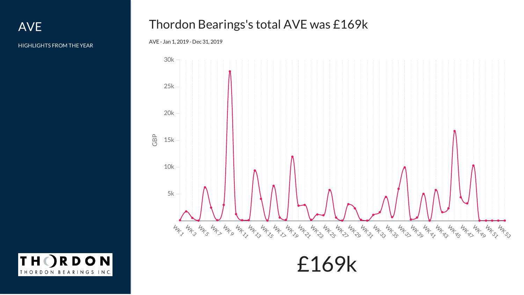AVE

HIGHLIGHTS FROM THEYEAR

## Thordon Bearings's total AVE was £169k

### AVE - Jan 1, 2019 - Dec 31, 2019



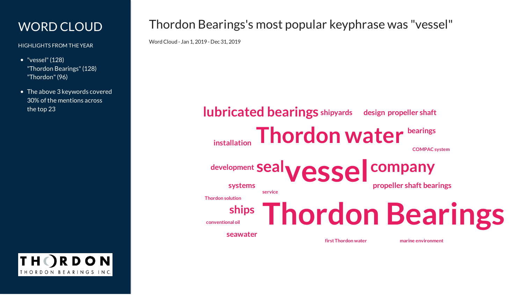## WORD CLOUD

HIGHLIGHTS FROM THEYEAR

• "vessel" (128) "Thordon Bearings"(128) "Thordon"(96)

• The above 3 keywords covered 30% of the mentions across the top 23

**RDON** THORDON BEARINGS INC.

## Thordon Bearings's most popular keyphrase was "vessel"

WordCloud - Jan 1, 2019 - Dec 31, 2019